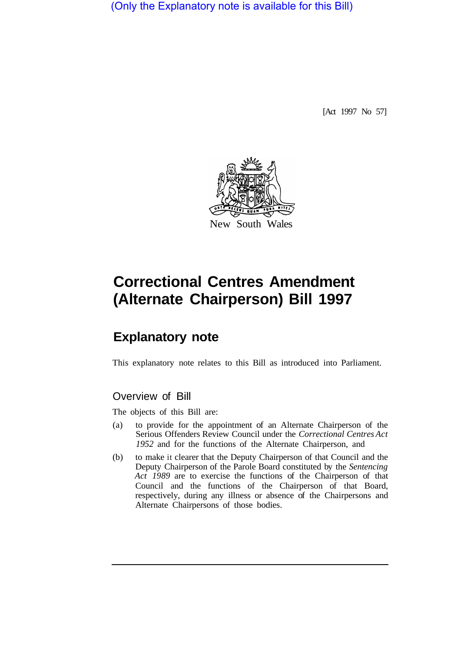(Only the Explanatory note is available for this Bill)

[Act 1997 No 57]



# **Correctional Centres Amendment (Alternate Chairperson) Bill 1997**

## **Explanatory note**

This explanatory note relates to this Bill as introduced into Parliament.

## Overview of Bill

The objects of this Bill are:

- (a) to provide for the appointment of an Alternate Chairperson of the Serious Offenders Review Council under the *Correctional Centres Act 1952* and for the functions of the Alternate Chairperson, and
- (b) to make it clearer that the Deputy Chairperson of that Council and the Deputy Chairperson of the Parole Board constituted by the *Sentencing Act 1989* are to exercise the functions of the Chairperson of that Council and the functions of the Chairperson of that Board, respectively, during any illness or absence of the Chairpersons and Alternate Chairpersons of those bodies.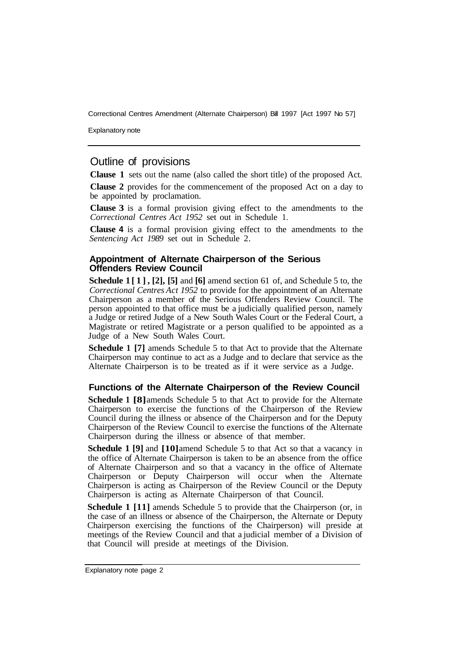Correctional Centres Amendment (Alternate Chairperson) Bill 1997 [Act 1997 No 57]

Explanatory note

## Outline of provisions

**Clause 1** sets out the name (also called the short title) of the proposed Act.

**Clause 2** provides for the commencement of the proposed Act on a day to be appointed by proclamation.

**Clause 3** is a formal provision giving effect to the amendments to the *Correctional Centres Act 1952* set out in Schedule 1.

**Clause 4** is a formal provision giving effect to the amendments to the *Sentencing Act 1989* set out in Schedule 2.

#### **Appointment of Alternate Chairperson of the Serious Offenders Review Council**

**Schedule 1 [1], [2], [5]** and **[6]** amend section 61 of, and Schedule 5 to, the *Correctional Centres Act 1952* to provide for the appointment of an Alternate Chairperson as a member of the Serious Offenders Review Council. The person appointed to that office must be a judicially qualified person, namely a Judge or retired Judge of a New South Wales Court or the Federal Court, a Magistrate or retired Magistrate or a person qualified to be appointed as a Judge of a New South Wales Court.

**Schedule 1 [7]** amends Schedule 5 to that Act to provide that the Alternate Chairperson may continue to act as a Judge and to declare that service as the Alternate Chairperson is to be treated as if it were service as a Judge.

#### **Functions of the Alternate Chairperson of the Review Council**

**Schedule 1 [8]** amends Schedule 5 to that Act to provide for the Alternate Chairperson to exercise the functions of the Chairperson of the Review Council during the illness or absence of the Chairperson and for the Deputy Chairperson of the Review Council to exercise the functions of the Alternate Chairperson during the illness or absence of that member.

**Schedule 1 [9]** and **[10]** amend Schedule 5 to that Act so that a vacancy in the office of Alternate Chairperson is taken to be an absence from the office of Alternate Chairperson and so that a vacancy in the office of Alternate Chairperson or Deputy Chairperson will occur when the Alternate Chairperson is acting as Chairperson of the Review Council or the Deputy Chairperson is acting as Alternate Chairperson of that Council.

**Schedule 1 [11]** amends Schedule 5 to provide that the Chairperson (or, in the case of an illness or absence of the Chairperson, the Alternate or Deputy Chairperson exercising the functions of the Chairperson) will preside at meetings of the Review Council and that a judicial member of a Division of that Council will preside at meetings of the Division.